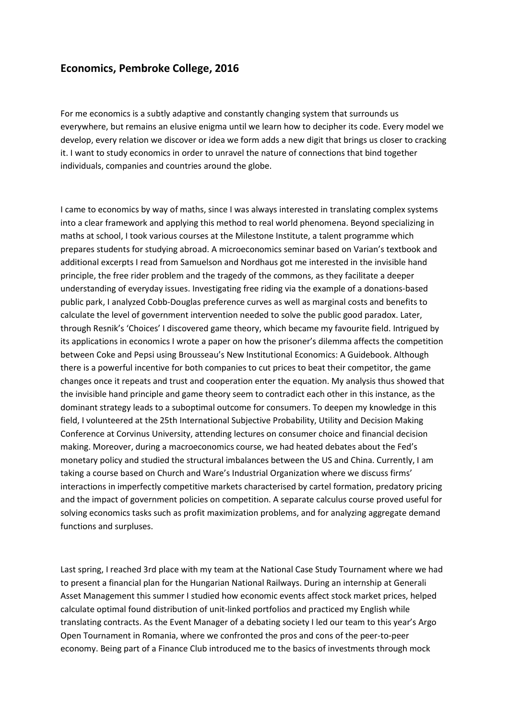## Economics, Pembroke College, 2016

For me economics is a subtly adaptive and constantly changing system that surrounds us everywhere, but remains an elusive enigma until we learn how to decipher its code. Every model we develop, every relation we discover or idea we form adds a new digit that brings us closer to cracking it. I want to study economics in order to unravel the nature of connections that bind together individuals, companies and countries around the globe.

I came to economics by way of maths, since I was always interested in translating complex systems into a clear framework and applying this method to real world phenomena. Beyond specializing in maths at school, I took various courses at the Milestone Institute, a talent programme which prepares students for studying abroad. A microeconomics seminar based on Varian's textbook and additional excerpts I read from Samuelson and Nordhaus got me interested in the invisible hand principle, the free rider problem and the tragedy of the commons, as they facilitate a deeper understanding of everyday issues. Investigating free riding via the example of a donations-based public park, I analyzed Cobb-Douglas preference curves as well as marginal costs and benefits to calculate the level of government intervention needed to solve the public good paradox. Later, through Resnik's 'Choices' I discovered game theory, which became my favourite field. Intrigued by its applications in economics I wrote a paper on how the prisoner's dilemma affects the competition between Coke and Pepsi using Brousseau's New Institutional Economics: A Guidebook. Although there is a powerful incentive for both companies to cut prices to beat their competitor, the game changes once it repeats and trust and cooperation enter the equation. My analysis thus showed that the invisible hand principle and game theory seem to contradict each other in this instance, as the dominant strategy leads to a suboptimal outcome for consumers. To deepen my knowledge in this field, I volunteered at the 25th International Subjective Probability, Utility and Decision Making Conference at Corvinus University, attending lectures on consumer choice and financial decision making. Moreover, during a macroeconomics course, we had heated debates about the Fed's monetary policy and studied the structural imbalances between the US and China. Currently, I am taking a course based on Church and Ware's Industrial Organization where we discuss firms' interactions in imperfectly competitive markets characterised by cartel formation, predatory pricing and the impact of government policies on competition. A separate calculus course proved useful for solving economics tasks such as profit maximization problems, and for analyzing aggregate demand functions and surpluses.

Last spring, I reached 3rd place with my team at the National Case Study Tournament where we had to present a financial plan for the Hungarian National Railways. During an internship at Generali Asset Management this summer I studied how economic events affect stock market prices, helped calculate optimal found distribution of unit-linked portfolios and practiced my English while translating contracts. As the Event Manager of a debating society I led our team to this year's Argo Open Tournament in Romania, where we confronted the pros and cons of the peer-to-peer economy. Being part of a Finance Club introduced me to the basics of investments through mock